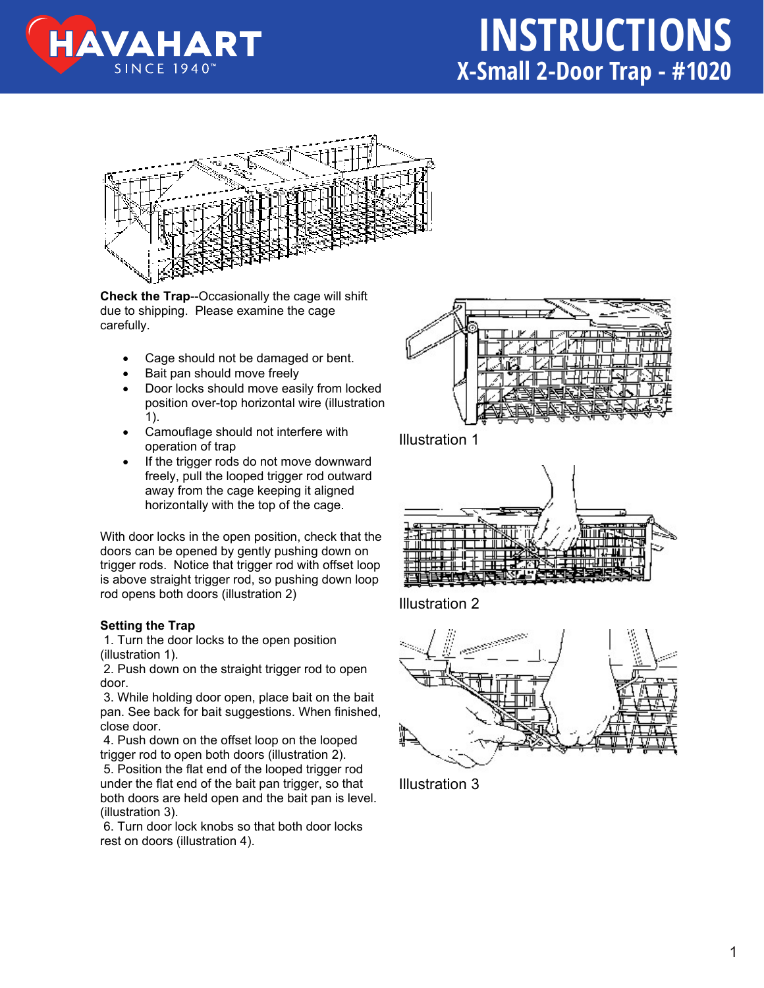



**Check the Trap**--Occasionally the cage will shift due to shipping. Please examine the cage carefully.

- Cage should not be damaged or bent.
- Bait pan should move freely
- Door locks should move easily from locked position over-top horizontal wire (illustration 1).
- Camouflage should not interfere with operation of trap
- If the trigger rods do not move downward freely, pull the looped trigger rod outward away from the cage keeping it aligned horizontally with the top of the cage.

With door locks in the open position, check that the doors can be opened by gently pushing down on trigger rods. Notice that trigger rod with offset loop is above straight trigger rod, so pushing down loop rod opens both doors (illustration 2)

## **Setting the Trap**

1. Turn the door locks to the open position (illustration 1).

 2. Push down on the straight trigger rod to open door.

 3. While holding door open, place bait on the bait pan. See back for bait suggestions. When finished, close door.

 4. Push down on the offset loop on the looped trigger rod to open both doors (illustration 2).

 5. Position the flat end of the looped trigger rod under the flat end of the bait pan trigger, so that both doors are held open and the bait pan is level. (illustration 3).

 6. Turn door lock knobs so that both door locks rest on doors (illustration 4).



Illustration 1



Illustration 2



Illustration 3